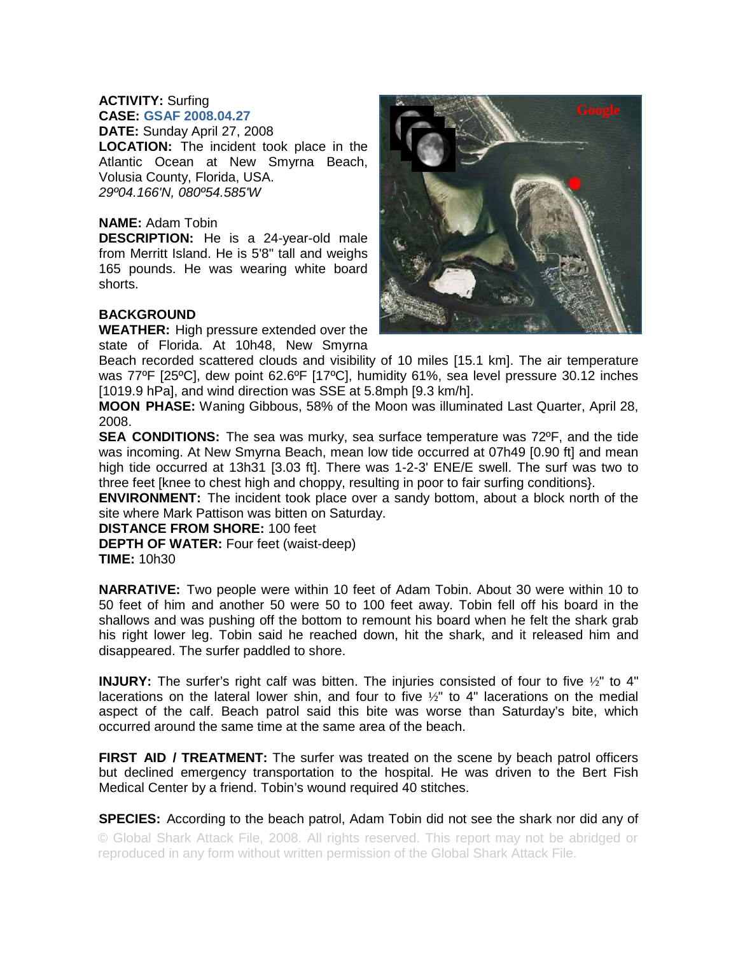## **ACTIVITY:** Surfing

**CASE: GSAF 2008.04.27 DATE:** Sunday April 27, 2008 **LOCATION:** The incident took place in the Atlantic Ocean at New Smyrna Beach, Volusia County, Florida, USA. *29º04.166'N, 080º54.585'W* 

## **NAME:** Adam Tobin

**DESCRIPTION:** He is a 24-year-old male from Merritt Island. He is 5'8" tall and weighs 165 pounds. He was wearing white board shorts.

## **BACKGROUND**

**WEATHER:** High pressure extended over the



**MOON PHASE:** Waning Gibbous, 58% of the Moon was illuminated Last Quarter, April 28, 2008.

**SEA CONDITIONS:** The sea was murky, sea surface temperature was 72°F, and the tide was incoming. At New Smyrna Beach, mean low tide occurred at 07h49 [0.90 ft] and mean high tide occurred at 13h31 [3.03 ft]. There was 1-2-3' ENE/E swell. The surf was two to three feet [knee to chest high and choppy, resulting in poor to fair surfing conditions}.

**ENVIRONMENT:** The incident took place over a sandy bottom, about a block north of the site where Mark Pattison was bitten on Saturday.

**DISTANCE FROM SHORE:** 100 feet

**DEPTH OF WATER:** Four feet (waist-deep) **TIME:** 10h30

**NARRATIVE:** Two people were within 10 feet of Adam Tobin. About 30 were within 10 to 50 feet of him and another 50 were 50 to 100 feet away. Tobin fell off his board in the shallows and was pushing off the bottom to remount his board when he felt the shark grab his right lower leg. Tobin said he reached down, hit the shark, and it released him and disappeared. The surfer paddled to shore.

**INJURY:** The surfer's right calf was bitten. The injuries consisted of four to five ½" to 4" lacerations on the lateral lower shin, and four to five ½" to 4" lacerations on the medial aspect of the calf. Beach patrol said this bite was worse than Saturday's bite, which occurred around the same time at the same area of the beach.

**FIRST AID / TREATMENT:** The surfer was treated on the scene by beach patrol officers but declined emergency transportation to the hospital. He was driven to the Bert Fish Medical Center by a friend. Tobin's wound required 40 stitches.

**SPECIES:** According to the beach patrol, Adam Tobin did not see the shark nor did any of © Global Shark Attack File, 2008. All rights reserved. This report may not be abridged or reproduced in any form without written permission of the Global Shark Attack File.